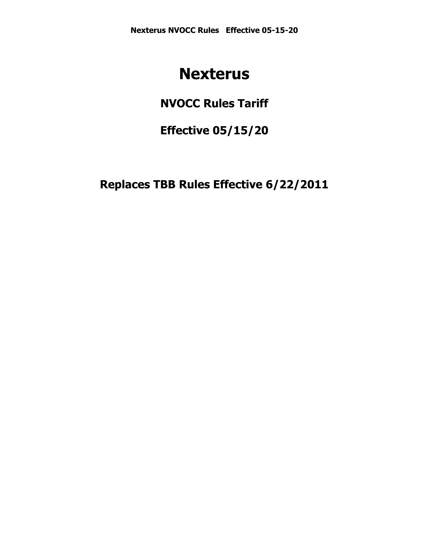# **Nexterus**

## **NVOCC Rules Tariff**

**Effective 05/15/20**

**Replaces TBB Rules Effective 6/22/2011**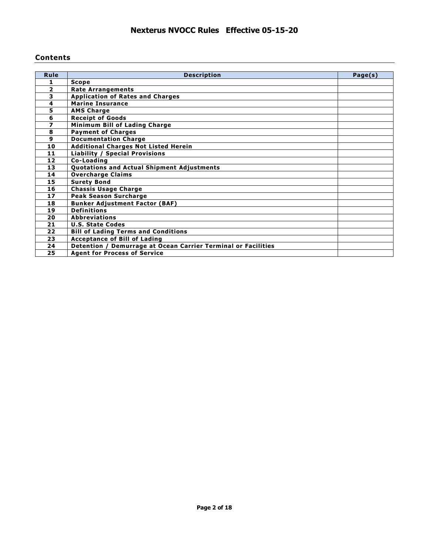### **Contents**

| Rule           | <b>Description</b>                                            | Page(s) |
|----------------|---------------------------------------------------------------|---------|
| 1              | <b>Scope</b>                                                  |         |
| $\overline{2}$ | <b>Rate Arrangements</b>                                      |         |
| 3              | <b>Application of Rates and Charges</b>                       |         |
| 4              | <b>Marine Insurance</b>                                       |         |
| 5              | <b>AMS Charge</b>                                             |         |
| 6              | <b>Receipt of Goods</b>                                       |         |
| 7              | Minimum Bill of Lading Charge                                 |         |
| 8              | <b>Payment of Charges</b>                                     |         |
| 9              | <b>Documentation Charge</b>                                   |         |
| 10             | <b>Additional Charges Not Listed Herein</b>                   |         |
| 11             | <b>Liability / Special Provisions</b>                         |         |
| 12             | Co-Loading                                                    |         |
| 13             | Quotations and Actual Shipment Adjustments                    |         |
| 14             | <b>Overcharge Claims</b>                                      |         |
| 15             | <b>Surety Bond</b>                                            |         |
| 16             | <b>Chassis Usage Charge</b>                                   |         |
| 17             | <b>Peak Season Surcharge</b>                                  |         |
| 18             | <b>Bunker Adjustment Factor (BAF)</b>                         |         |
| 19             | <b>Definitions</b>                                            |         |
| 20             | <b>Abbreviations</b>                                          |         |
| 21             | <b>U.S. State Codes</b>                                       |         |
| 22             | <b>Bill of Lading Terms and Conditions</b>                    |         |
| 23             | <b>Acceptance of Bill of Lading</b>                           |         |
| 24             | Detention / Demurrage at Ocean Carrier Terminal or Facilities |         |
| 25             | <b>Agent for Process of Service</b>                           |         |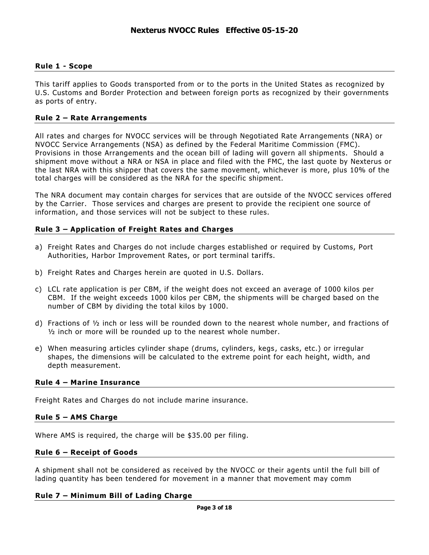### **Rule 1 - Scope**

This tariff applies to Goods transported from or to the ports in the United States as recognized by U.S. Customs and Border Protection and between foreign ports as recognized by their governments as ports of entry.

### **Rule 2 – Rate Arrangements**

All rates and charges for NVOCC services will be through Negotiated Rate Arrangements (NRA) or NVOCC Service Arrangements (NSA) as defined by the Federal Maritime Commission (FMC). Provisions in those Arrangements and the ocean bill of lading will govern all shipments. Should a shipment move without a NRA or NSA in place and filed with the FMC, the last quote by Nexterus or the last NRA with this shipper that covers the same movement, whichever is more, plus 10% of the total charges will be considered as the NRA for the specific shipment.

The NRA document may contain charges for services that are outside of the NVOCC services offered by the Carrier. Those services and charges are present to provide the recipient one source of information, and those services will not be subject to these rules.

### **Rule 3 – Application of Freight Rates and Charges**

- a) Freight Rates and Charges do not include charges established or required by Customs, Port Authorities, Harbor Improvement Rates, or port terminal tariffs.
- b) Freight Rates and Charges herein are quoted in U.S. Dollars.
- c) LCL rate application is per CBM, if the weight does not exceed an average of 1000 kilos per CBM. If the weight exceeds 1000 kilos per CBM, the shipments will be charged based on the number of CBM by dividing the total kilos by 1000.
- d) Fractions of ½ inch or less will be rounded down to the nearest whole number, and fractions of ½ inch or more will be rounded up to the nearest whole number.
- e) When measuring articles cylinder shape (drums, cylinders, kegs, casks, etc.) or irregular shapes, the dimensions will be calculated to the extreme point for each height, width, and depth measurement.

### **Rule 4 – Marine Insurance**

Freight Rates and Charges do not include marine insurance.

### **Rule 5 – AMS Charge**

Where AMS is required, the charge will be \$35.00 per filing.

### **Rule 6 – Receipt of Goods**

A shipment shall not be considered as received by the NVOCC or their agents until the full bill of lading quantity has been tendered for movement in a manner that movement may comm

### **Rule 7 – Minimum Bill of Lading Charge**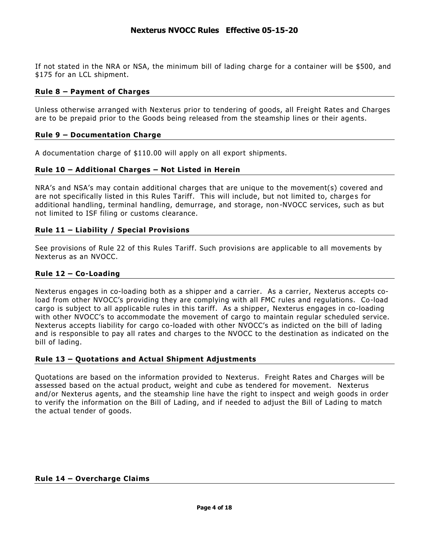If not stated in the NRA or NSA, the minimum bill of lading charge for a container will be \$500, and \$175 for an LCL shipment.

### **Rule 8 – Payment of Charges**

Unless otherwise arranged with Nexterus prior to tendering of goods, all Freight Rates and Charges are to be prepaid prior to the Goods being released from the steamship lines or their agents.

### **Rule 9 – Documentation Charge**

A documentation charge of \$110.00 will apply on all export shipments.

### **Rule 10 – Additional Charges – Not Listed in Herein**

NRA's and NSA's may contain additional charges that are unique to the movement(s) covered and are not specifically listed in this Rules Tariff. This will include, but not limited to, charges for additional handling, terminal handling, demurrage, and storage, non-NVOCC services, such as but not limited to ISF filing or customs clearance.

### **Rule 11 – Liability / Special Provisions**

See provisions of Rule 22 of this Rules Tariff. Such provisions are applicable to all movements by Nexterus as an NVOCC.

### **Rule 12 – Co-Loading**

Nexterus engages in co-loading both as a shipper and a carrier. As a carrier, Nexterus accepts coload from other NVOCC's providing they are complying with all FMC rules and regulations. Co -load cargo is subject to all applicable rules in this tariff. As a shipper, Nexterus engages in co-loading with other NVOCC's to accommodate the movement of cargo to maintain regular scheduled service. Nexterus accepts liability for cargo co-loaded with other NVOCC's as indicted on the bill of lading and is responsible to pay all rates and charges to the NVOCC to the destination as indicated on the bill of lading.

### **Rule 13 – Quotations and Actual Shipment Adjustments**

Quotations are based on the information provided to Nexterus. Freight Rates and Charges will be assessed based on the actual product, weight and cube as tendered for movement. Nexterus and/or Nexterus agents, and the steamship line have the right to inspect and weigh goods in order to verify the information on the Bill of Lading, and if needed to adjust the Bill of Lading to match the actual tender of goods.

#### **Rule 14 – Overcharge Claims**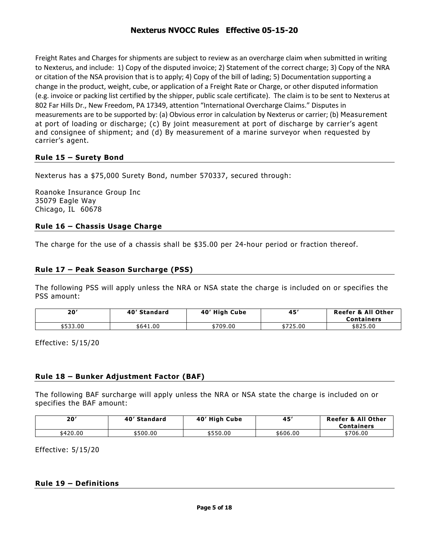Freight Rates and Charges for shipments are subject to review as an overcharge claim when submitted in writing to Nexterus, and include: 1) Copy of the disputed invoice; 2) Statement of the correct charge; 3) Copy of the NRA or citation of the NSA provision that is to apply; 4) Copy of the bill of lading; 5) Documentation supporting a change in the product, weight, cube, or application of a Freight Rate or Charge, or other disputed information (e.g. invoice or packing list certified by the shipper, public scale certificate). The claim is to be sent to Nexterus at 802 Far Hills Dr., New Freedom, PA 17349, attention "International Overcharge Claims." Disputes in measurements are to be supported by: (a) Obvious error in calculation by Nexterus or carrier; (b) Measurement at port of loading or discharge; (c) By joint measurement at port of discharge by carrier's agent and consignee of shipment; and (d) By measurement of a marine surveyor when requested by carrier's agent.

### **Rule 15 – Surety Bond**

Nexterus has a \$75,000 Surety Bond, number 570337, secured through:

Roanoke Insurance Group Inc 35079 Eagle Way Chicago, IL 60678

### **Rule 16 – Chassis Usage Charge**

The charge for the use of a chassis shall be \$35.00 per 24-hour period or fraction thereof.

### **Rule 17 – Peak Season Surcharge (PSS)**

The following PSS will apply unless the NRA or NSA state the charge is included on or specifies the PSS amount:

| 20′      | 40' Standard | 40' High Cube      | $45^\circ$ | <b>Reefer &amp; All Other</b><br><b>Containers</b> |
|----------|--------------|--------------------|------------|----------------------------------------------------|
| \$533.00 | \$641.00     | <sup>*709.00</sup> | \$725.00   | \$825.00                                           |

Effective: 5/15/20

### **Rule 18 – Bunker Adjustment Factor (BAF)**

The following BAF surcharge will apply unless the NRA or NSA state the charge is included on or specifies the BAF amount:

| 20'      | 40' Standard | 40' High Cube | 45       | <b>Reefer &amp; All Other</b><br><b>Containers</b> |
|----------|--------------|---------------|----------|----------------------------------------------------|
| \$420.00 | \$500.00     | \$550.00      | \$606.00 | \$706.00                                           |

Effective: 5/15/20

### **Rule 19 – Definitions**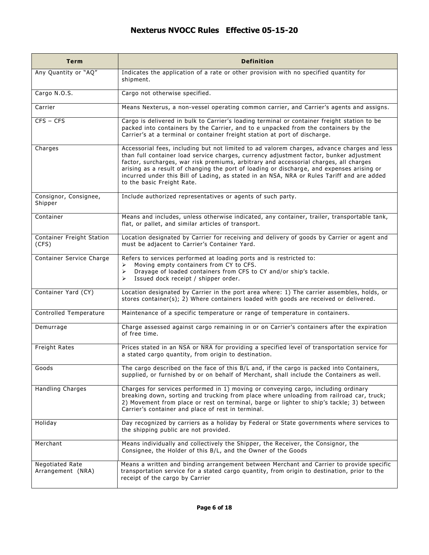| <b>Term</b>                          | <b>Definition</b>                                                                                                                                                                                                                                                                                                                                                                                                                                                                                        |  |  |
|--------------------------------------|----------------------------------------------------------------------------------------------------------------------------------------------------------------------------------------------------------------------------------------------------------------------------------------------------------------------------------------------------------------------------------------------------------------------------------------------------------------------------------------------------------|--|--|
| Any Quantity or "AQ"                 | Indicates the application of a rate or other provision with no specified quantity for<br>shipment.                                                                                                                                                                                                                                                                                                                                                                                                       |  |  |
| Cargo N.O.S.                         | Cargo not otherwise specified.                                                                                                                                                                                                                                                                                                                                                                                                                                                                           |  |  |
| Carrier                              | Means Nexterus, a non-vessel operating common carrier, and Carrier's agents and assigns.                                                                                                                                                                                                                                                                                                                                                                                                                 |  |  |
| $CFS - CFS$                          | Cargo is delivered in bulk to Carrier's loading terminal or container freight station to be<br>packed into containers by the Carrier, and to e unpacked from the containers by the<br>Carrier's at a terminal or container freight station at port of discharge.                                                                                                                                                                                                                                         |  |  |
| Charges                              | Accessorial fees, including but not limited to ad valorem charges, advance charges and less<br>than full container load service charges, currency adjustment factor, bunker adjustment<br>factor, surcharges, war risk premiums, arbitrary and accessorial charges, all charges<br>arising as a result of changing the port of loading or discharge, and expenses arising or<br>incurred under this Bill of Lading, as stated in an NSA, NRA or Rules Tariff and are added<br>to the basic Freight Rate. |  |  |
| Consignor, Consignee,<br>Shipper     | Include authorized representatives or agents of such party.                                                                                                                                                                                                                                                                                                                                                                                                                                              |  |  |
| Container                            | Means and includes, unless otherwise indicated, any container, trailer, transportable tank,<br>flat, or pallet, and similar articles of transport.                                                                                                                                                                                                                                                                                                                                                       |  |  |
| Container Freight Station<br>(CFS)   | Location designated by Carrier for receiving and delivery of goods by Carrier or agent and<br>must be adjacent to Carrier's Container Yard.                                                                                                                                                                                                                                                                                                                                                              |  |  |
| Container Service Charge             | Refers to services performed at loading ports and is restricted to:<br>Moving empty containers from CY to CFS.<br>➤<br>Drayage of loaded containers from CFS to CY and/or ship's tackle.<br>➤<br>Issued dock receipt / shipper order.<br>➤                                                                                                                                                                                                                                                               |  |  |
| Container Yard (CY)                  | Location designated by Carrier in the port area where: 1) The carrier assembles, holds, or<br>stores container(s); 2) Where containers loaded with goods are received or delivered.                                                                                                                                                                                                                                                                                                                      |  |  |
| Controlled Temperature               | Maintenance of a specific temperature or range of temperature in containers.                                                                                                                                                                                                                                                                                                                                                                                                                             |  |  |
| Demurrage                            | Charge assessed against cargo remaining in or on Carrier's containers after the expiration<br>of free time.                                                                                                                                                                                                                                                                                                                                                                                              |  |  |
| Freight Rates                        | Prices stated in an NSA or NRA for providing a specified level of transportation service for<br>a stated cargo quantity, from origin to destination.                                                                                                                                                                                                                                                                                                                                                     |  |  |
| Goods                                | The cargo described on the face of this B/L and, if the cargo is packed into Containers,<br>supplied, or furnished by or on behalf of Merchant, shall include the Containers as well.                                                                                                                                                                                                                                                                                                                    |  |  |
| <b>Handling Charges</b>              | Charges for services performed in 1) moving or conveying cargo, including ordinary<br>breaking down, sorting and trucking from place where unloading from railroad car, truck;<br>2) Movement from place or rest on terminal, barge or lighter to ship's tackle; 3) between<br>Carrier's container and place of rest in terminal.                                                                                                                                                                        |  |  |
| Holiday                              | Day recognized by carriers as a holiday by Federal or State governments where services to<br>the shipping public are not provided.                                                                                                                                                                                                                                                                                                                                                                       |  |  |
| Merchant                             | Means individually and collectively the Shipper, the Receiver, the Consignor, the<br>Consignee, the Holder of this B/L, and the Owner of the Goods                                                                                                                                                                                                                                                                                                                                                       |  |  |
| Negotiated Rate<br>Arrangement (NRA) | Means a written and binding arrangement between Merchant and Carrier to provide specific<br>transportation service for a stated cargo quantity, from origin to destination, prior to the<br>receipt of the cargo by Carrier                                                                                                                                                                                                                                                                              |  |  |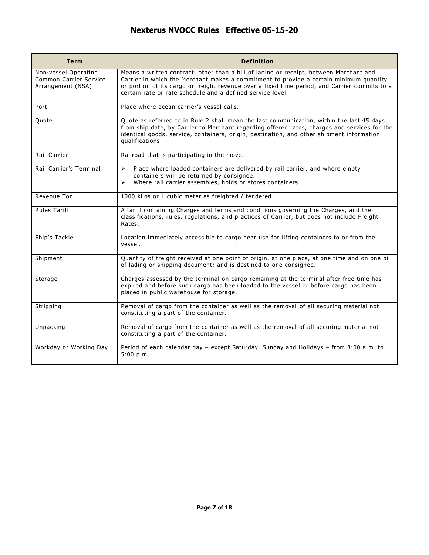| <b>Term</b>                                                         | <b>Definition</b>                                                                                                                                                                                                                                                                                                                               |  |  |
|---------------------------------------------------------------------|-------------------------------------------------------------------------------------------------------------------------------------------------------------------------------------------------------------------------------------------------------------------------------------------------------------------------------------------------|--|--|
| Non-vessel Operating<br>Common Carrier Service<br>Arrangement (NSA) | Means a written contract, other than a bill of lading or receipt, between Merchant and<br>Carrier in which the Merchant makes a commitment to provide a certain minimum quantity<br>or portion of its cargo or freight revenue over a fixed time period, and Carrier commits to a<br>certain rate or rate schedule and a defined service level. |  |  |
| Port                                                                | Place where ocean carrier's vessel calls.                                                                                                                                                                                                                                                                                                       |  |  |
| Quote                                                               | Quote as referred to in Rule 2 shall mean the last communication, within the last 45 days<br>from ship date, by Carrier to Merchant regarding offered rates, charges and services for the<br>identical goods, service, containers, origin, destination, and other shipment information<br>qualifications.                                       |  |  |
| Rail Carrier                                                        | Railroad that is participating in the move.                                                                                                                                                                                                                                                                                                     |  |  |
| Rail Carrier's Terminal                                             | Place where loaded containers are delivered by rail carrier, and where empty<br>$\blacktriangleright$<br>containers will be returned by consignee.<br>Where rail carrier assembles, holds or stores containers.<br>➤                                                                                                                            |  |  |
| Revenue Ton                                                         | 1000 kilos or 1 cubic meter as freighted / tendered.                                                                                                                                                                                                                                                                                            |  |  |
| <b>Rules Tariff</b>                                                 | A tariff containing Charges and terms and conditions governing the Charges, and the<br>classifications, rules, regulations, and practices of Carrier, but does not include Freight<br>Rates.                                                                                                                                                    |  |  |
| Ship's Tackle                                                       | Location immediately accessible to cargo gear use for lifting containers to or from the<br>vessel.                                                                                                                                                                                                                                              |  |  |
| Shipment                                                            | Quantity of freight received at one point of origin, at one place, at one time and on one bill<br>of lading or shipping document; and is destined to one consignee.                                                                                                                                                                             |  |  |
| Storage                                                             | Charges assessed by the terminal on cargo remaining at the terminal after free time has<br>expired and before such cargo has been loaded to the vessel or before cargo has been<br>placed in public warehouse for storage.                                                                                                                      |  |  |
| Stripping                                                           | Removal of cargo from the container as well as the removal of all securing material not<br>constituting a part of the container.                                                                                                                                                                                                                |  |  |
| Unpacking                                                           | Removal of cargo from the container as well as the removal of all securing material not<br>constituting a part of the container.                                                                                                                                                                                                                |  |  |
| Workday or Working Day                                              | Period of each calendar day - except Saturday, Sunday and Holidays - from 8:00 a.m. to<br>5:00 p.m.                                                                                                                                                                                                                                             |  |  |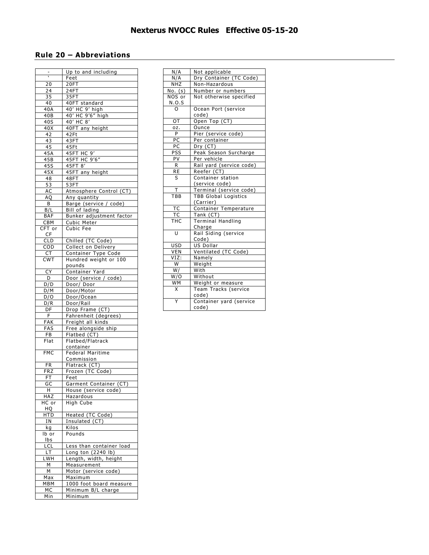### **Rule 20 – Abbreviations**

|                 | Up to and including        |
|-----------------|----------------------------|
| ₹               | Feet                       |
| 20              | 20FT                       |
| 24              | 24FT                       |
| $3\overline{5}$ | 35FT                       |
| 40              | 40FT standard              |
| 40A             | 40' HC 9' high             |
| 40B             | 40' HC 9'6" high           |
| 40S             | 40' HC 8'                  |
| 40X             |                            |
|                 | 40FT any height            |
| 42              | 42Ft                       |
| 43              | 43FT                       |
| 45              | 45Ft                       |
| 45A             | 45FT HC 9'<br>45FT HC 9'6" |
| 45B             |                            |
| 45S             | 45FT 8'                    |
| 45X             | 45FT any height            |
| 48              | 48FT                       |
| 53              | 53FT                       |
| AC              | Atmosphere Control (CT)    |
| AQ              | Any quantity               |
| B               | Barge (service / code)     |
| B/L             | Bill of lading             |
| <b>BAF</b>      | Bunker adjustment factor   |
| <b>CBM</b>      | Cubic Meter                |
| CFT or          | Cubic Fee                  |
| CF              |                            |
| <b>CLD</b>      | Chilled (TC Code)          |
| COD             | Collect on Delivery        |
|                 |                            |
| <b>CT</b>       | Container Type Code        |
| <b>CWT</b>      | Hundred weight or 100      |
|                 | pounds                     |
| СY              | Container Yard             |
| D               | Door (service / code)      |
| D/D             | Door/ Door                 |
| D/M             | Door/Motor                 |
| D/O             | Door/Ocean                 |
| D/R             | Door/Rail                  |
| DF              | Drop Frame (CT)            |
| F.              | Fahrenheit (degrees)       |
| FAK             | Freight all kinds          |
| FAS             | Free alongside ship        |
| FB              | Flatbed (CT)               |
| Flat            | Flatbed/Flatrack           |
|                 | container                  |
| FMC             | Federal Maritime           |
|                 | Commission                 |
| <b>FR</b>       | Flatrack (CT)              |
| FRZ             | Frozen (TC Code)           |
| FT              | Feet                       |
| GC              | (Garment Container (CT     |
| н               | House (service code)       |
| HAZ             | Hazardous                  |
|                 |                            |
|                 |                            |
| $HC$ or         | High Cube                  |
| HQ              |                            |
| HTD             | Heated (TC Code)           |
| ΙN              | Insulated (CT)             |
| kg              | Kilos                      |
| lb or           | Pounds                     |
| Ibs             |                            |
| LCL             | Less than container load   |
| LT.             | Long ton (2240 lb)         |
| LWH             | Length, width, height      |
| М               | Measurement                |
| М               | Motor (service code)       |
| Max             | Maximum                    |
| MBM             | 1000 foot board measure    |
| МC              | Minimum B/L charge         |

| N/A                  | Not applicable               |  |  |
|----------------------|------------------------------|--|--|
| N/A                  | Dry Container (TC Code)      |  |  |
| NHZ                  | Non-Hazardous                |  |  |
| $\overline{No. (s)}$ | Number or numbers            |  |  |
| NOS or               | Not otherwise specified      |  |  |
| N.O.S                |                              |  |  |
|                      | Ocean Port (service<br>code) |  |  |
| ОT                   | Open Top (CT)                |  |  |
| OZ.                  | Ounce                        |  |  |
| P                    | Pier (service code)          |  |  |
| PC                   | Per container                |  |  |
| PC                   | Dry (CT)                     |  |  |
| PSS                  | Peak Season Surcharge        |  |  |
| PV                   | Per vehicle                  |  |  |
| R                    | Rail yard (service code)     |  |  |
| RE                   | Reefer (CT)                  |  |  |
| S                    | Container station            |  |  |
|                      | (service code)               |  |  |
| Ŧ                    | Terminal (service code)      |  |  |
| TBB                  | <b>TBB Global Logistics</b>  |  |  |
|                      | (Carrier)                    |  |  |
| <b>TC</b>            | Container Temperature        |  |  |
| <b>TC</b>            | Tank(CT)                     |  |  |
| THC                  | <b>Terminal Handling</b>     |  |  |
|                      | Charge                       |  |  |
| U                    | Rail Siding (service         |  |  |
|                      | Code)                        |  |  |
| <b>USD</b>           | US Dollar                    |  |  |
| <b>VEN</b>           | Ventilated (TC Code)         |  |  |
| VIZ:                 | Namely                       |  |  |
| W                    | Weight                       |  |  |
| W/                   | With                         |  |  |
| W/O                  | Without                      |  |  |
| WМ                   | Weight or measure            |  |  |
| X                    | Team Tracks (service         |  |  |
|                      | code)                        |  |  |
| Y                    | Container yard (service      |  |  |
|                      | code)                        |  |  |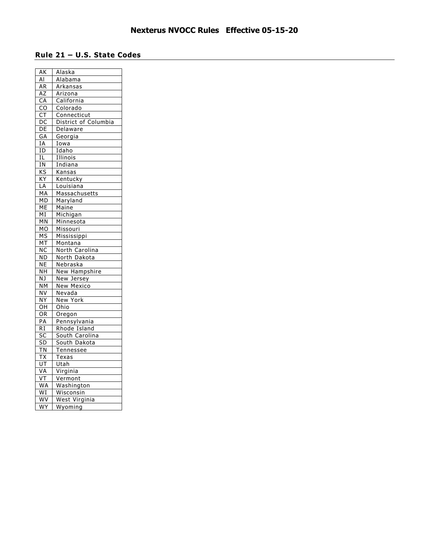### **Rule 21 – U.S. State Codes**

| $\overline{\mathsf{AK}}$ | Alaska               |
|--------------------------|----------------------|
| Al                       | Alabama              |
| ΑR                       | Arkansas             |
| AZ                       | Arizona              |
| CA                       | California           |
| CO                       | Colorado             |
| $\frac{1}{\mathsf{CT}}$  | Connecticut          |
| $\overline{DC}$          | District of Columbia |
| $D\overline{E}$          | Delaware             |
| <b>GA</b>                | Georgia              |
| ΙA                       | Iowa                 |
| ΙD                       | Idaho                |
| ΙL                       | Illinois             |
| <u>IN</u>                | Indiana              |
| <u>KS</u>                | Kansas               |
| $\overline{XY}$          | Kentucky             |
| LA                       | Louisiana            |
| MA                       | Massachusetts        |
| МD                       | Maryland             |
| $\overline{\mathsf{ME}}$ | Maine                |
| МI                       | Michigan             |
| MN                       | Minnesota            |
| MO                       | Missouri             |
| <b>MS</b>                | Mississippi          |
| МT                       | Montana              |
| $\overline{\textsf{NC}}$ | North Carolina       |
| ND                       | North Dakota         |
| NE                       | <b>Nebraska</b>      |
| NΗ                       | New Hampshire        |
| ΝJ                       | New Jersey           |
| NΜ                       | <b>New Mexico</b>    |
| NV                       | Nevada               |
| NΥ                       | New York             |
| OН                       | Ohio                 |
| ΟR                       | Oregon               |
| PA                       | Pennsylvania         |
| RI                       | Rhode Island         |
| sс                       | South Carolina       |
| <u>SD</u>                | South Dakota         |
| ΤN                       | Tennessee            |
| TХ                       | Texas                |
| $\overline{\mathsf{UT}}$ | Utah                 |
| VA                       | Virginia             |
| $\overline{\mathsf{VT}}$ | Vermont              |
| <b>WA</b>                | Washington           |
| WI                       | Wisconsin            |
| WV                       | West Virginia        |
| <u>WY</u>                | Wyoming              |
|                          |                      |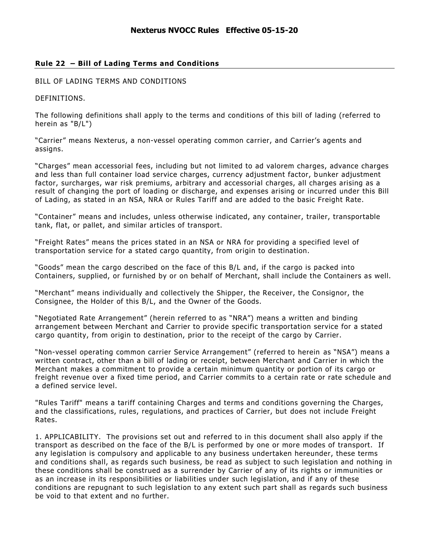### **Rule 22 – Bill of Lading Terms and Conditions**

### BILL OF LADING TERMS AND CONDITIONS

DEFINITIONS.

The following definitions shall apply to the terms and conditions of this bill of lading (referred to herein as "B/L")

"Carrier" means Nexterus, a non-vessel operating common carrier, and Carrier's agents and assigns.

"Charges" mean accessorial fees, including but not limited to ad valorem charges, advance charges and less than full container load service charges, currency adjustment factor, bunker adjustment factor, surcharges, war risk premiums, arbitrary and accessorial charges, all charges arising as a result of changing the port of loading or discharge, and expenses arising or incurred under this Bill of Lading, as stated in an NSA, NRA or Rules Tariff and are added to the basic Freight Rate.

"Container" means and includes, unless otherwise indicated, any container, trailer, transportable tank, flat, or pallet, and similar articles of transport.

"Freight Rates" means the prices stated in an NSA or NRA for providing a specified level of transportation service for a stated cargo quantity, from origin to destination.

"Goods" mean the cargo described on the face of this B/L and, if the cargo is packed into Containers, supplied, or furnished by or on behalf of Merchant, shall include the Containers as well.

"Merchant" means individually and collectively the Shipper, the Receiver, the Consignor, the Consignee, the Holder of this B/L, and the Owner of the Goods.

"Negotiated Rate Arrangement" (herein referred to as "NRA") means a written and binding arrangement between Merchant and Carrier to provide specific transportation service for a stated cargo quantity, from origin to destination, prior to the receipt of the cargo by Carrier.

"Non-vessel operating common carrier Service Arrangement" (referred to herein as "NSA") means a written contract, other than a bill of lading or receipt, between Merchant and Carrier in which the Merchant makes a commitment to provide a certain minimum quantity or portion of its cargo or freight revenue over a fixed time period, and Carrier commits to a certain rate or rate schedule and a defined service level.

"Rules Tariff" means a tariff containing Charges and terms and conditions governing the Charges, and the classifications, rules, regulations, and practices of Carrier, but does not include Freight Rates.

1. APPLICABILITY. The provisions set out and referred to in this document shall also apply if the transport as described on the face of the B/L is performed by one or more modes of transport. If any legislation is compulsory and applicable to any business undertaken hereunder, these terms and conditions shall, as regards such business, be read as subject to such legislation and nothing in these conditions shall be construed as a surrender by Carrier of any of its rights or immunities or as an increase in its responsibilities or liabilities under such legislation, and if any of these conditions are repugnant to such legislation to any extent such part shall as regards such business be void to that extent and no further.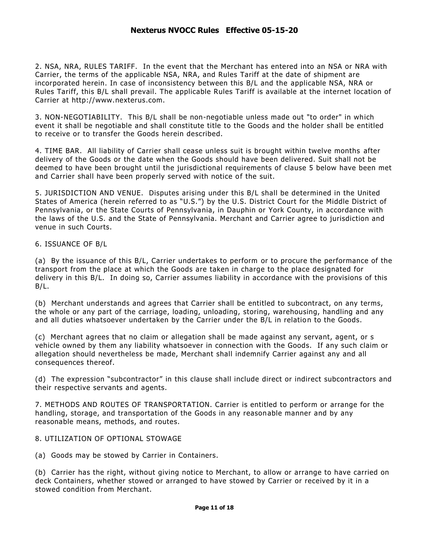2. NSA, NRA, RULES TARIFF. In the event that the Merchant has entered into an NSA or NRA with Carrier, the terms of the applicable NSA, NRA, and Rules Tariff at the date of shipment are incorporated herein. In case of inconsistency between this B/L and the applicable NSA, NRA or Rules Tariff, this B/L shall prevail. The applicable Rules Tariff is available at the internet location of Carrier at http://www.nexterus.com.

3. NON-NEGOTIABILITY. This B/L shall be non-negotiable unless made out "to order" in which event it shall be negotiable and shall constitute title to the Goods and the holder shall be entitled to receive or to transfer the Goods herein described.

4. TIME BAR. All liability of Carrier shall cease unless suit is brought within twelve months after delivery of the Goods or the date when the Goods should have been delivered. Suit shall not be deemed to have been brought until the jurisdictional requirements of clause 5 below have been met and Carrier shall have been properly served with notice of the suit.

5. JURISDICTION AND VENUE. Disputes arising under this B/L shall be determined in the United States of America (herein referred to as "U.S.") by the U.S. District Court for the Middle District of Pennsylvania, or the State Courts of Pennsylvania, in Dauphin or York County, in accordance with the laws of the U.S. and the State of Pennsylvania. Merchant and Carrier agree to jurisdiction and venue in such Courts.

6. ISSUANCE OF B/L

(a) By the issuance of this B/L, Carrier undertakes to perform or to procure the performance of the transport from the place at which the Goods are taken in charge to the place designated for delivery in this B/L. In doing so, Carrier assumes liability in accordance with the provisions of this B/L.

(b) Merchant understands and agrees that Carrier shall be entitled to subcontract, on any terms, the whole or any part of the carriage, loading, unloading, storing, warehousing, handling and any and all duties whatsoever undertaken by the Carrier under the B/L in relation to the Goods.

(c) Merchant agrees that no claim or allegation shall be made against any servant, agent, or s vehicle owned by them any liability whatsoever in connection with the Goods. If any such claim or allegation should nevertheless be made, Merchant shall indemnify Carrier against any and all consequences thereof.

(d) The expression "subcontractor" in this clause shall include direct or indirect subcontractors and their respective servants and agents.

7. METHODS AND ROUTES OF TRANSPORTATION. Carrier is entitled to perform or arrange for the handling, storage, and transportation of the Goods in any reasonable manner and by any reasonable means, methods, and routes.

### 8. UTILIZATION OF OPTIONAL STOWAGE

(a) Goods may be stowed by Carrier in Containers.

(b) Carrier has the right, without giving notice to Merchant, to allow or arrange to have carried on deck Containers, whether stowed or arranged to have stowed by Carrier or received by it in a stowed condition from Merchant.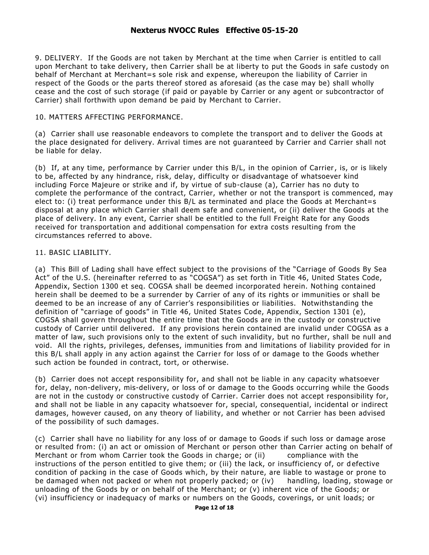9. DELIVERY. If the Goods are not taken by Merchant at the time when Carrier is entitled to call upon Merchant to take delivery, then Carrier shall be at liberty to put the Goods in safe custody on behalf of Merchant at Merchant=s sole risk and expense, whereupon the liability of Carrier in respect of the Goods or the parts thereof stored as aforesaid (as the case may be) shall wholly cease and the cost of such storage (if paid or payable by Carrier or any agent or subcontractor of Carrier) shall forthwith upon demand be paid by Merchant to Carrier.

### 10. MATTERS AFFECTING PERFORMANCE.

(a) Carrier shall use reasonable endeavors to complete the transport and to deliver the Goods at the place designated for delivery. Arrival times are not guaranteed by Carrier and Carrier shall not be liable for delay.

(b) If, at any time, performance by Carrier under this B/L, in the opinion of Carrier, is, or is likely to be, affected by any hindrance, risk, delay, difficulty or disadvantage of whatsoever kind including Force Majeure or strike and if, by virtue of sub-clause (a), Carrier has no duty to complete the performance of the contract, Carrier, whether or not the transport is commenced, may elect to: (i) treat performance under this B/L as terminated and place the Goods at Merchant=s disposal at any place which Carrier shall deem safe and convenient, or (ii) deliver the Goods at the place of delivery. In any event, Carrier shall be entitled to the full Freight Rate for any Goods received for transportation and additional compensation for extra costs resulting from the circumstances referred to above.

### 11. BASIC LIABILITY.

(a) This Bill of Lading shall have effect subject to the provisions of the "Carriage of Goods By Sea Act" of the U.S. (hereinafter referred to as "COGSA") as set forth in Title 46, United States Code, Appendix, Section 1300 et seg. COGSA shall be deemed incorporated herein. Nothing contained herein shall be deemed to be a surrender by Carrier of any of its rights or immunities or shall be deemed to be an increase of any of Carrier's responsibilities or liabilities. Notwithstanding the definition of "carriage of goods" in Title 46, United States Code, Appendix, Section 1301 (e), COGSA shall govern throughout the entire time that the Goods are in the custody or constructive custody of Carrier until delivered. If any provisions herein contained are invalid under COGSA as a matter of law, such provisions only to the extent of such invalidity, but no further, shall be null and void. All the rights, privileges, defenses, immunities from and limitations of liability provided for in this B/L shall apply in any action against the Carrier for loss of or damage to the Goods whether such action be founded in contract, tort, or otherwise.

(b) Carrier does not accept responsibility for, and shall not be liable in any capacity whatsoever for, delay, non-delivery, mis-delivery, or loss of or damage to the Goods occurring while the Goods are not in the custody or constructive custody of Carrier. Carrier does not accept responsibility for, and shall not be liable in any capacity whatsoever for, special, consequential, incidental or indirect damages, however caused, on any theory of liability, and whether or not Carrier has been advised of the possibility of such damages.

(c) Carrier shall have no liability for any loss of or damage to Goods if such loss or damage arose or resulted from: (i) an act or omission of Merchant or person other than Carrier acting on behalf of Merchant or from whom Carrier took the Goods in charge; or (ii) compliance with the instructions of the person entitled to give them; or (iii) the lack, or insufficiency of, or defective condition of packing in the case of Goods which, by their nature, are liable to wastage or prone to be damaged when not packed or when not properly packed; or (iv) handling, loading, stowage or unloading of the Goods by or on behalf of the Merchant; or (v) inherent vice of the Goods; or (vi) insufficiency or inadequacy of marks or numbers on the Goods, coverings, or unit loads; or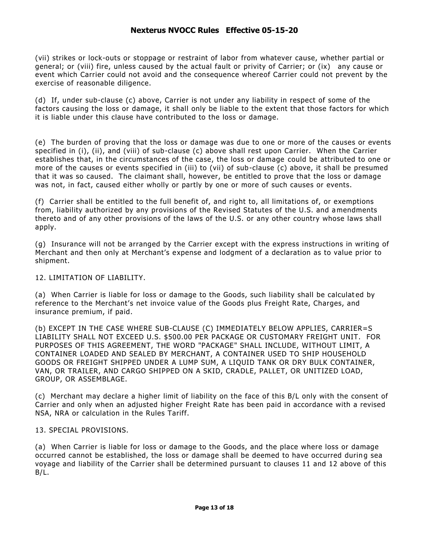(vii) strikes or lock-outs or stoppage or restraint of labor from whatever cause, whether partial or general; or (viii) fire, unless caused by the actual fault or privity of Carrier; or (ix) any cause or event which Carrier could not avoid and the consequence whereof Carrier could not prevent by the exercise of reasonable diligence.

(d) If, under sub-clause (c) above, Carrier is not under any liability in respect of some of the factors causing the loss or damage, it shall only be liable to the extent that those factors for which it is liable under this clause have contributed to the loss or damage.

(e) The burden of proving that the loss or damage was due to one or more of the causes or events specified in (i), (ii), and (viii) of sub-clause (c) above shall rest upon Carrier. When the Carrier establishes that, in the circumstances of the case, the loss or damage could be attributed to one or more of the causes or events specified in (iii) to (vii) of sub -clause (c) above, it shall be presumed that it was so caused. The claimant shall, however, be entitled to prove that the loss or damage was not, in fact, caused either wholly or partly by one or more of such causes or events.

(f) Carrier shall be entitled to the full benefit of, and right to, all limitations of, or exemptions from, liability authorized by any provisions of the Revised Statutes of the U.S. and a mendments thereto and of any other provisions of the laws of the U.S. or any other country whose laws shall apply.

(g) Insurance will not be arranged by the Carrier except with the express instructions in writing of Merchant and then only at Merchant's expense and lodgment of a declaration as to value prior to shipment.

#### 12. LIMITATION OF LIABILITY.

(a) When Carrier is liable for loss or damage to the Goods, such liability shall be calculated by reference to the Merchant's net invoice value of the Goods plus Freight Rate, Charges, and insurance premium, if paid.

(b) EXCEPT IN THE CASE WHERE SUB-CLAUSE (C) IMMEDIATELY BELOW APPLIES, CARRIER=S LIABILITY SHALL NOT EXCEED U.S. \$500.00 PER PACKAGE OR CUSTOMARY FREIGHT UNIT. FOR PURPOSES OF THIS AGREEMENT, THE WORD "PACKAGE" SHALL INCLUDE, WITHOUT LIMIT, A CONTAINER LOADED AND SEALED BY MERCHANT, A CONTAINER USED TO SHIP HOUSEHOLD GOODS OR FREIGHT SHIPPED UNDER A LUMP SUM, A LIQUID TANK OR DRY BULK CONTAINER, VAN, OR TRAILER, AND CARGO SHIPPED ON A SKID, CRADLE, PALLET, OR UNITIZED LOAD, GROUP, OR ASSEMBLAGE.

(c) Merchant may declare a higher limit of liability on the face of this B/L only with the consent of Carrier and only when an adjusted higher Freight Rate has been paid in accordance with a revised NSA, NRA or calculation in the Rules Tariff.

### 13. SPECIAL PROVISIONS.

(a) When Carrier is liable for loss or damage to the Goods, and the place where loss or damage occurred cannot be established, the loss or damage shall be deemed to have occurred during sea voyage and liability of the Carrier shall be determined pursuant to clauses 11 and 12 above of this B/L.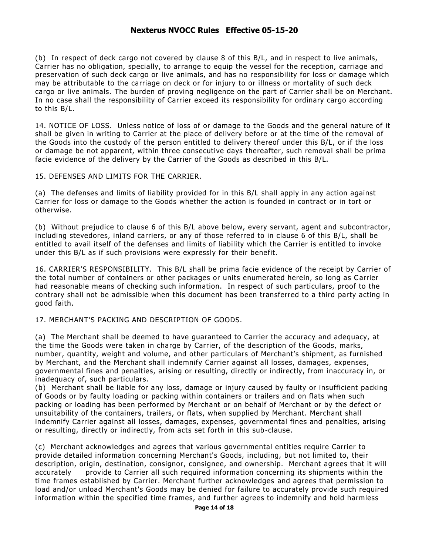(b) In respect of deck cargo not covered by clause 8 of this B/L, and in respect to live animals, Carrier has no obligation, specially, to arrange to equip the vessel for the reception, carriage and preservation of such deck cargo or live animals, and has no responsibility for loss or damage which may be attributable to the carriage on deck or for injury to or illness or mortality of such deck cargo or live animals. The burden of proving negligence on the part of Carrier shall be on Merchant. In no case shall the responsibility of Carrier exceed its responsibility for ordinary cargo according to this B/L.

14. NOTICE OF LOSS. Unless notice of loss of or damage to the Goods and the general nature of it shall be given in writing to Carrier at the place of delivery before or at the time of the removal of the Goods into the custody of the person entitled to delivery thereof under this B/L, or if the loss or damage be not apparent, within three consecutive days thereafter, such removal shall be prima facie evidence of the delivery by the Carrier of the Goods as described in this B/L.

15. DEFENSES AND LIMITS FOR THE CARRIER.

(a) The defenses and limits of liability provided for in this B/L shall apply in any action against Carrier for loss or damage to the Goods whether the action is founded in contract or in tort or otherwise.

(b) Without prejudice to clause 6 of this B/L above below, every servant, agent and subcontractor, including stevedores, inland carriers, or any of those referred to in clause 6 of this B/L, shall be entitled to avail itself of the defenses and limits of liability which the Carrier is entitled to invoke under this B/L as if such provisions were expressly for their benefit.

16. CARRIER'S RESPONSIBILITY. This B/L shall be prima facie evidence of the receipt by Carrier of the total number of containers or other packages or units enumerated herein, so long as C arrier had reasonable means of checking such information. In respect of such particulars, proof to the contrary shall not be admissible when this document has been transferred to a third party acting in good faith.

### 17. MERCHANT'S PACKING AND DESCRIPTION OF GOODS.

(a) The Merchant shall be deemed to have guaranteed to Carrier the accuracy and adequacy, at the time the Goods were taken in charge by Carrier, of the description of the Goods, marks, number, quantity, weight and volume, and other particulars of Merchant's shipment, as furnished by Merchant, and the Merchant shall indemnify Carrier against all losses, damages, expenses, governmental fines and penalties, arising or resulting, directly or indirectly, from inaccuracy in, or inadequacy of, such particulars.

(b) Merchant shall be liable for any loss, damage or injury caused by faulty or insufficient packing of Goods or by faulty loading or packing within containers or trailers and on flats when such packing or loading has been performed by Merchant or on behalf of Merchant or by the defect or unsuitability of the containers, trailers, or flats, when supplied by Merchant. Merchant shall indemnify Carrier against all losses, damages, expenses, governmental fines and penalties, arising or resulting, directly or indirectly, from acts set forth in this sub-clause.

(c) Merchant acknowledges and agrees that various governmental entities require Carrier to provide detailed information concerning Merchant's Goods, including, but not limited to, their description, origin, destination, consignor, consignee, and ownership. Merchant agrees that it will accurately provide to Carrier all such required information concerning its shipments within the time frames established by Carrier. Merchant further acknowledges and agrees that permission to load and/or unload Merchant's Goods may be denied for failure to accurately provide such required information within the specified time frames, and further agrees to indemnify and hold harmless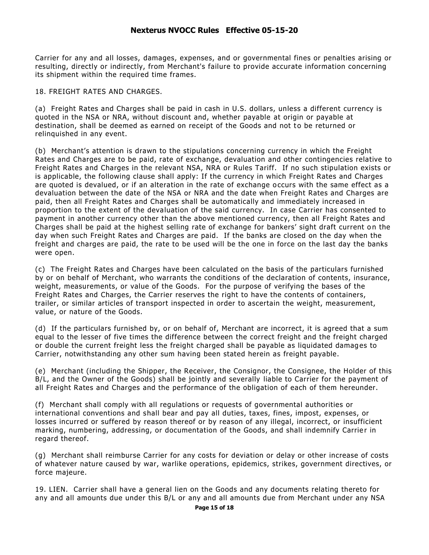Carrier for any and all losses, damages, expenses, and or governmental fines or penalties arising or resulting, directly or indirectly, from Merchant's failure to provide accurate information concerning its shipment within the required time frames.

### 18. FREIGHT RATES AND CHARGES.

(a) Freight Rates and Charges shall be paid in cash in U.S. dollars, unless a different currency is quoted in the NSA or NRA, without discount and, whether payable at origin or payable at destination, shall be deemed as earned on receipt of the Goods and not to be returned or relinquished in any event.

(b) Merchant's attention is drawn to the stipulations concerning currency in which the Freight Rates and Charges are to be paid, rate of exchange, devaluation and other contingencies relative to Freight Rates and Charges in the relevant NSA, NRA or Rules Tariff. If no such stipulation exists or is applicable, the following clause shall apply: If the currency in which Freight Rates and Charges are quoted is devalued, or if an alteration in the rate of exchange o ccurs with the same effect as a devaluation between the date of the NSA or NRA and the date when Freight Rates and Charges are paid, then all Freight Rates and Charges shall be automatically and immediately increased in proportion to the extent of the devaluation of the said currency. In case Carrier has consented to payment in another currency other than the above mentioned currency, then all Freight Rates and Charges shall be paid at the highest selling rate of exchange for bankers' sight draft current on the day when such Freight Rates and Charges are paid. If the banks are closed on the day when the freight and charges are paid, the rate to be used will be the one in force on the last day the banks were open.

(c) The Freight Rates and Charges have been calculated on the basis of the particulars furnished by or on behalf of Merchant, who warrants the conditions of the declaration of contents, insurance, weight, measurements, or value of the Goods. For the purpose of verifying the bases of the Freight Rates and Charges, the Carrier reserves the right to have the contents of containers, trailer, or similar articles of transport inspected in order to ascertain the weight, measurement, value, or nature of the Goods.

(d) If the particulars furnished by, or on behalf of, Merchant are incorrect, it is agreed that a sum equal to the lesser of five times the difference between the correct freight and the freight charged or double the current freight less the freight charged shall be payable as liquidated damages to Carrier, notwithstanding any other sum having been stated herein as freight payable.

(e) Merchant (including the Shipper, the Receiver, the Consignor, the Consignee, the Holder of this B/L, and the Owner of the Goods) shall be jointly and severally liable to Carrier for the payment of all Freight Rates and Charges and the performance of the obligation of each of them hereunder.

(f) Merchant shall comply with all regulations or requests of governmental authorities or international conventions and shall bear and pay all duties, taxes, fines, impost, expenses, or losses incurred or suffered by reason thereof or by reason of any illegal, incorrect, or insufficient marking, numbering, addressing, or documentation of the Goods, and shall indemnify Carrier in regard thereof.

(g) Merchant shall reimburse Carrier for any costs for deviation or delay or other increase of costs of whatever nature caused by war, warlike operations, epidemics, strikes, government directives, or force majeure.

19. LIEN. Carrier shall have a general lien on the Goods and any documents relating thereto for any and all amounts due under this B/L or any and all amounts due from Merchant under any NSA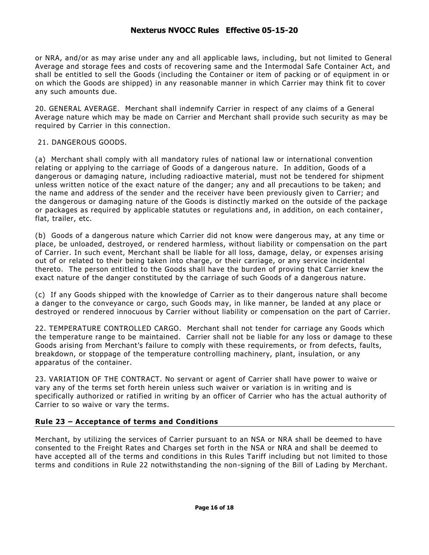or NRA, and/or as may arise under any and all applicable laws, in cluding, but not limited to General Average and storage fees and costs of recovering same and the Intermodal Safe Container Act, and shall be entitled to sell the Goods (including the Container or item of packing or of equipment in or on which the Goods are shipped) in any reasonable manner in which Carrier may think fit to cover any such amounts due.

20. GENERAL AVERAGE. Merchant shall indemnify Carrier in respect of any claims of a General Average nature which may be made on Carrier and Merchant shall provide such security as may be required by Carrier in this connection.

### 21. DANGEROUS GOODS.

(a) Merchant shall comply with all mandatory rules of national law or international convention relating or applying to the carriage of Goods of a dangerous nature. In addition, Goods of a dangerous or damaging nature, including radioactive material, must not be tendered for shipment unless written notice of the exact nature of the danger; any and all precautions to be taken; and the name and address of the sender and the receiver have been previously given to Carrier; and the dangerous or damaging nature of the Goods is distinctly marked on the outside of the package or packages as required by applicable statutes or regulations and, in addition, on each container, flat, trailer, etc.

(b) Goods of a dangerous nature which Carrier did not know were dangerous may, at any time or place, be unloaded, destroyed, or rendered harmless, without liability or compensation on the part of Carrier. In such event, Merchant shall be liable for all loss, damage, delay, or expenses arising out of or related to their being taken into charge, or their carriage, or any service incidental thereto. The person entitled to the Goods shall have the burden of proving that Carrier knew the exact nature of the danger constituted by the carriage of such Goods of a dangerous nature.

(c) If any Goods shipped with the knowledge of Carrier as to their dangerous nature shall become a danger to the conveyance or cargo, such Goods may, in like manner, be landed at any place or destroyed or rendered innocuous by Carrier without liability or compensation on the part of Carrier.

22. TEMPERATURE CONTROLLED CARGO. Merchant shall not tender for carriage any Goods which the temperature range to be maintained. Carrier shall not be liable for any loss or damage to these Goods arising from Merchant's failure to comply with these requirements, or from defects, faults, breakdown, or stoppage of the temperature controlling machinery, plant, insulation, or any apparatus of the container.

23. VARIATION OF THE CONTRACT. No servant or agent of Carrier shall have power to waive or vary any of the terms set forth herein unless such waiver or variation is in writing and is specifically authorized or ratified in writing by an officer of Carrier who has the actual authority of Carrier to so waive or vary the terms.

### **Rule 23 – Acceptance of terms and Conditions**

Merchant, by utilizing the services of Carrier pursuant to an NSA or NRA shall be deemed to have consented to the Freight Rates and Charges set forth in the NSA or NRA and shall be deemed to have accepted all of the terms and conditions in this Rules Tariff including but not limited to those terms and conditions in Rule 22 notwithstanding the non-signing of the Bill of Lading by Merchant.